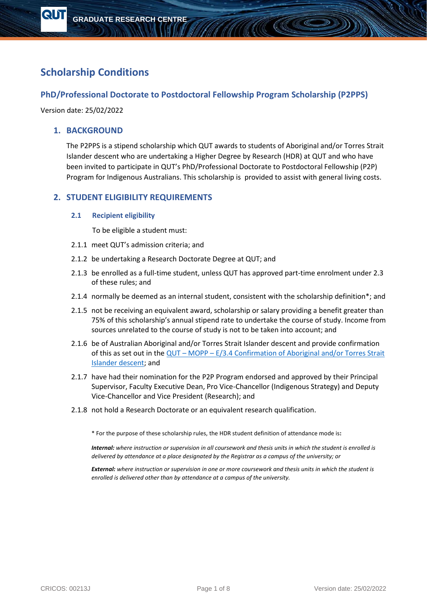# **Scholarship Conditions**

# **PhD/Professional Doctorate to Postdoctoral Fellowship Program Scholarship (P2PPS)**

Version date: 25/02/2022

**QUT** 

# **1. BACKGROUND**

The P2PPS is a stipend scholarship which QUT awards to students of Aboriginal and/or Torres Strait Islander descent who are undertaking a Higher Degree by Research (HDR) at QUT and who have been invited to participate in QUT's PhD/Professional Doctorate to Postdoctoral Fellowship (P2P) Program for Indigenous Australians. This scholarship is provided to assist with general living costs.

AAAA

# **2. STUDENT ELIGIBILITY REQUIREMENTS**

#### **2.1 Recipient eligibility**

To be eligible a student must:

- 2.1.1 meet QUT's admission criteria; and
- 2.1.2 be undertaking a Research Doctorate Degree at QUT; and
- 2.1.3 be enrolled as a full-time student, unless QUT has approved part-time enrolment under 2.3 of these rules; and
- 2.1.4 normally be deemed as an internal student, consistent with the scholarship definition\*; and
- 2.1.5 not be receiving an equivalent award, scholarship or salary providing a benefit greater than 75% of this scholarship's annual stipend rate to undertake the course of study. Income from sources unrelated to the course of study is not to be taken into account; and
- 2.1.6 be of Australian Aboriginal and/or Torres Strait Islander descent and provide confirmation of this as set out in the  $QUT - MOPP - E/3.4$  Confirmation of Aboriginal and/or Torres Strait [Islander descent;](https://www.mopp.qut.edu.au/E/E_03_04.jsp#E_03_04.04.mdoc) and
- 2.1.7 have had their nomination for the P2P Program endorsed and approved by their Principal Supervisor, Faculty Executive Dean, Pro Vice-Chancellor (Indigenous Strategy) and Deputy Vice-Chancellor and Vice President (Research); and
- 2.1.8 not hold a Research Doctorate or an equivalent research qualification.

\* For the purpose of these scholarship rules, the HDR student definition of attendance mode is**:** 

*Internal: where instruction or supervision in all coursework and thesis units in which the student is enrolled is delivered by attendance at a place designated by the Registrar as a campus of the university; or* 

*External: where instruction or supervision in one or more coursework and thesis units in which the student is enrolled is delivered other than by attendance at a campus of the university.*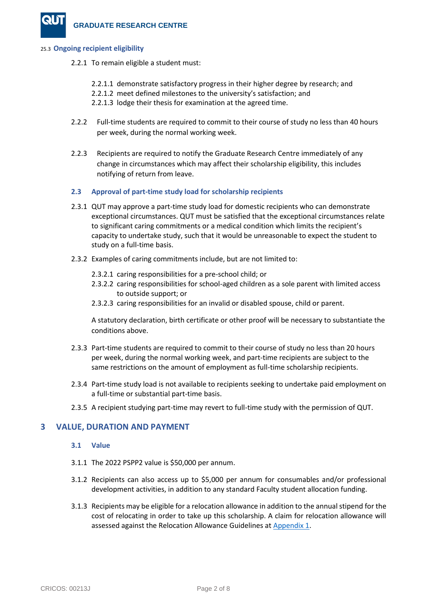#### 25.3 **Ongoing recipient eligibility**

- 2.2.1 To remain eligible a student must:
	- 2.2.1.1 demonstrate satisfactory progress in their higher degree by research; and
	- 2.2.1.2 meet defined milestones to the university's satisfaction; and
	- 2.2.1.3 lodge their thesis for examination at the agreed time.
- 2.2.2 Full-time students are required to commit to their course of study no less than 40 hours per week, during the normal working week.
- 2.2.3 Recipients are required to notify the Graduate Research Centre immediately of any change in circumstances which may affect their scholarship eligibility, this includes notifying of return from leave.

#### **2.3 Approval of part-time study load for scholarship recipients**

- 2.3.1 QUT may approve a part-time study load for domestic recipients who can demonstrate exceptional circumstances. QUT must be satisfied that the exceptional circumstances relate to significant caring commitments or a medical condition which limits the recipient's capacity to undertake study, such that it would be unreasonable to expect the student to study on a full-time basis.
- 2.3.2 Examples of caring commitments include, but are not limited to:
	- 2.3.2.1 caring responsibilities for a pre-school child; or
	- 2.3.2.2 caring responsibilities for school-aged children as a sole parent with limited access to outside support; or
	- 2.3.2.3 caring responsibilities for an invalid or disabled spouse, child or parent.

A statutory declaration, birth certificate or other proof will be necessary to substantiate the conditions above.

- 2.3.3 Part-time students are required to commit to their course of study no less than 20 hours per week, during the normal working week, and part-time recipients are subject to the same restrictions on the amount of employment as full-time scholarship recipients.
- 2.3.4 Part-time study load is not available to recipients seeking to undertake paid employment on a full-time or substantial part-time basis.
- 2.3.5 A recipient studying part-time may revert to full-time study with the permission of QUT.

# **3 VALUE, DURATION AND PAYMENT**

#### **3.1 Value**

- 3.1.1 The 2022 PSPP2 value is \$50,000 per annum.
- 3.1.2 Recipients can also access up to \$5,000 per annum for consumables and/or professional development activities, in addition to any standard Faculty student allocation funding.
- 3.1.3 Recipients may be eligible for a relocation allowance in addition to the annual stipend for the cost of relocating in order to take up this scholarship. A claim for relocation allowance will assessed against the Relocation Allowance Guidelines at [Appendix 1.](#page-7-0)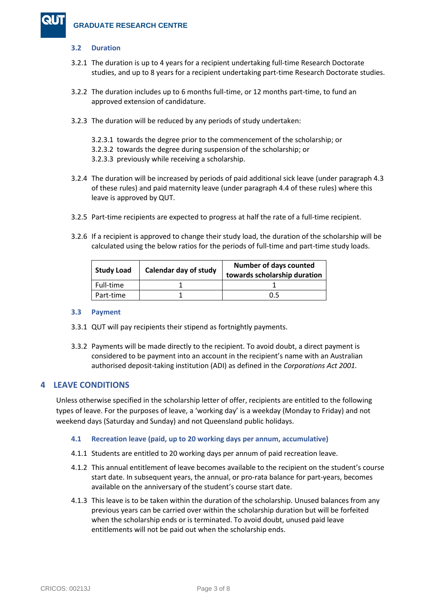# **3.2 Duration**

- 3.2.1 The duration is up to 4 years for a recipient undertaking full-time Research Doctorate studies, and up to 8 years for a recipient undertaking part-time Research Doctorate studies.
- 3.2.2 The duration includes up to 6 months full-time, or 12 months part-time, to fund an approved extension of candidature.
- 3.2.3 The duration will be reduced by any periods of study undertaken:
	- 3.2.3.1 towards the degree prior to the commencement of the scholarship; or
	- 3.2.3.2 towards the degree during suspension of the scholarship; or
	- 3.2.3.3 previously while receiving a scholarship.
- 3.2.4 The duration will be increased by periods of paid additional sick leave (under paragraph 4.3 of these rules) and paid maternity leave (under paragraph 4.4 of these rules) where this leave is approved by QUT.
- 3.2.5 Part-time recipients are expected to progress at half the rate of a full-time recipient.
- 3.2.6 If a recipient is approved to change their study load, the duration of the scholarship will be calculated using the below ratios for the periods of full-time and part-time study loads.

| <b>Study Load</b> | Calendar day of study | <b>Number of days counted</b><br>towards scholarship duration |
|-------------------|-----------------------|---------------------------------------------------------------|
| Full-time         |                       |                                                               |
| Part-time         |                       | በ 5                                                           |

# **3.3 Payment**

- 3.3.1 QUT will pay recipients their stipend as fortnightly payments.
- 3.3.2 Payments will be made directly to the recipient. To avoid doubt, a direct payment is considered to be payment into an account in the recipient's name with an Australian authorised deposit-taking institution (ADI) as defined in the *Corporations Act 2001.*

# **4 LEAVE CONDITIONS**

Unless otherwise specified in the scholarship letter of offer, recipients are entitled to the following types of leave. For the purposes of leave, a 'working day' is a weekday (Monday to Friday) and not weekend days (Saturday and Sunday) and not Queensland public holidays.

# **4.1 Recreation leave (paid, up to 20 working days per annum, accumulative)**

- 4.1.1 Students are entitled to 20 working days per annum of paid recreation leave.
- 4.1.2 This annual entitlement of leave becomes available to the recipient on the student's course start date. In subsequent years, the annual, or pro-rata balance for part-years, becomes available on the anniversary of the student's course start date.
- 4.1.3 This leave is to be taken within the duration of the scholarship. Unused balances from any previous years can be carried over within the scholarship duration but will be forfeited when the scholarship ends or is terminated. To avoid doubt, unused paid leave entitlements will not be paid out when the scholarship ends.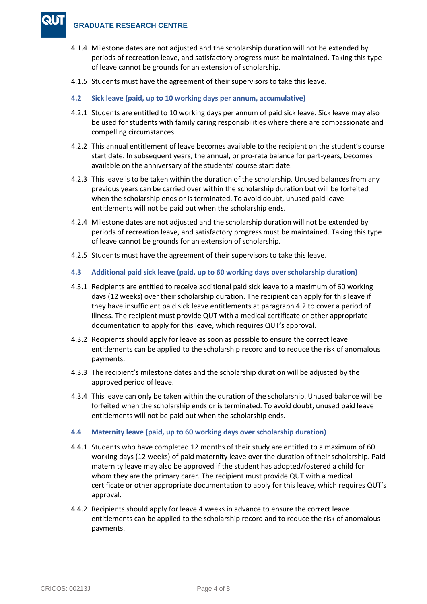- 4.1.4 Milestone dates are not adjusted and the scholarship duration will not be extended by periods of recreation leave, and satisfactory progress must be maintained. Taking this type of leave cannot be grounds for an extension of scholarship.
- 4.1.5 Students must have the agreement of their supervisors to take this leave.
- **4.2 Sick leave (paid, up to 10 working days per annum, accumulative)**
- 4.2.1 Students are entitled to 10 working days per annum of paid sick leave. Sick leave may also be used for students with family caring responsibilities where there are compassionate and compelling circumstances.
- 4.2.2 This annual entitlement of leave becomes available to the recipient on the student's course start date. In subsequent years, the annual, or pro-rata balance for part-years, becomes available on the anniversary of the students' course start date.
- 4.2.3 This leave is to be taken within the duration of the scholarship. Unused balances from any previous years can be carried over within the scholarship duration but will be forfeited when the scholarship ends or is terminated. To avoid doubt, unused paid leave entitlements will not be paid out when the scholarship ends.
- 4.2.4 Milestone dates are not adjusted and the scholarship duration will not be extended by periods of recreation leave, and satisfactory progress must be maintained. Taking this type of leave cannot be grounds for an extension of scholarship.
- 4.2.5 Students must have the agreement of their supervisors to take this leave.
- **4.3 Additional paid sick leave (paid, up to 60 working days over scholarship duration)**
- 4.3.1 Recipients are entitled to receive additional paid sick leave to a maximum of 60 working days (12 weeks) over their scholarship duration. The recipient can apply for this leave if they have insufficient paid sick leave entitlements at paragraph 4.2 to cover a period of illness. The recipient must provide QUT with a medical certificate or other appropriate documentation to apply for this leave, which requires QUT's approval.
- 4.3.2 Recipients should apply for leave as soon as possible to ensure the correct leave entitlements can be applied to the scholarship record and to reduce the risk of anomalous payments.
- 4.3.3 The recipient's milestone dates and the scholarship duration will be adjusted by the approved period of leave.
- 4.3.4 This leave can only be taken within the duration of the scholarship. Unused balance will be forfeited when the scholarship ends or is terminated. To avoid doubt, unused paid leave entitlements will not be paid out when the scholarship ends.
- **4.4 Maternity leave (paid, up to 60 working days over scholarship duration)**
- 4.4.1 Students who have completed 12 months of their study are entitled to a maximum of 60 working days (12 weeks) of paid maternity leave over the duration of their scholarship. Paid maternity leave may also be approved if the student has adopted/fostered a child for whom they are the primary carer. The recipient must provide QUT with a medical certificate or other appropriate documentation to apply for this leave, which requires QUT's approval.
- 4.4.2 Recipients should apply for leave 4 weeks in advance to ensure the correct leave entitlements can be applied to the scholarship record and to reduce the risk of anomalous payments.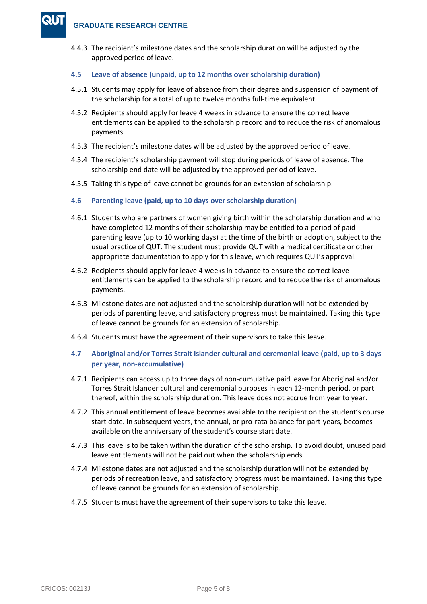4.4.3 The recipient's milestone dates and the scholarship duration will be adjusted by the approved period of leave.

# **4.5 Leave of absence (unpaid, up to 12 months over scholarship duration)**

- 4.5.1 Students may apply for leave of absence from their degree and suspension of payment of the scholarship for a total of up to twelve months full-time equivalent.
- 4.5.2 Recipients should apply for leave 4 weeks in advance to ensure the correct leave entitlements can be applied to the scholarship record and to reduce the risk of anomalous payments.
- 4.5.3 The recipient's milestone dates will be adjusted by the approved period of leave.
- 4.5.4 The recipient's scholarship payment will stop during periods of leave of absence. The scholarship end date will be adjusted by the approved period of leave.
- 4.5.5 Taking this type of leave cannot be grounds for an extension of scholarship.
- **4.6 Parenting leave (paid, up to 10 days over scholarship duration)**
- 4.6.1 Students who are partners of women giving birth within the scholarship duration and who have completed 12 months of their scholarship may be entitled to a period of paid parenting leave (up to 10 working days) at the time of the birth or adoption, subject to the usual practice of QUT. The student must provide QUT with a medical certificate or other appropriate documentation to apply for this leave, which requires QUT's approval.
- 4.6.2 Recipients should apply for leave 4 weeks in advance to ensure the correct leave entitlements can be applied to the scholarship record and to reduce the risk of anomalous payments.
- 4.6.3 Milestone dates are not adjusted and the scholarship duration will not be extended by periods of parenting leave, and satisfactory progress must be maintained. Taking this type of leave cannot be grounds for an extension of scholarship.
- 4.6.4 Students must have the agreement of their supervisors to take this leave.
- **4.7 Aboriginal and/or Torres Strait Islander cultural and ceremonial leave (paid, up to 3 days per year, non-accumulative)**
- 4.7.1 Recipients can access up to three days of non-cumulative paid leave for Aboriginal and/or Torres Strait Islander cultural and ceremonial purposes in each 12-month period, or part thereof, within the scholarship duration. This leave does not accrue from year to year.
- 4.7.2 This annual entitlement of leave becomes available to the recipient on the student's course start date. In subsequent years, the annual, or pro-rata balance for part-years, becomes available on the anniversary of the student's course start date.
- 4.7.3 This leave is to be taken within the duration of the scholarship. To avoid doubt, unused paid leave entitlements will not be paid out when the scholarship ends.
- 4.7.4 Milestone dates are not adjusted and the scholarship duration will not be extended by periods of recreation leave, and satisfactory progress must be maintained. Taking this type of leave cannot be grounds for an extension of scholarship.
- 4.7.5 Students must have the agreement of their supervisors to take this leave.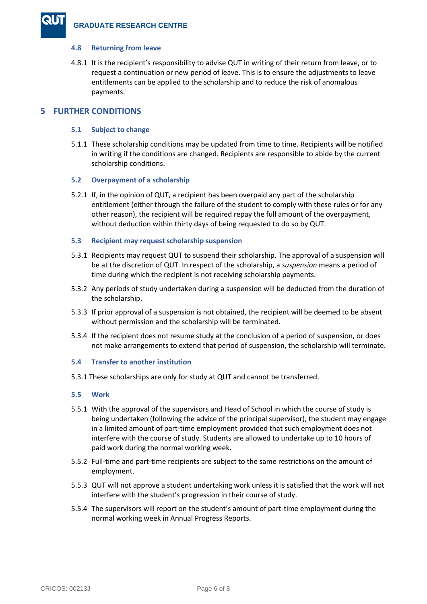#### **4.8 Returning from leave**

4.8.1 It is the recipient's responsibility to advise QUT in writing of their return from leave, or to request a continuation or new period of leave. This is to ensure the adjustments to leave entitlements can be applied to the scholarship and to reduce the risk of anomalous payments.

# **5 FURTHER CONDITIONS**

#### **5.1 Subject to change**

5.1.1 These scholarship conditions may be updated from time to time. Recipients will be notified in writing if the conditions are changed. Recipients are responsible to abide by the current scholarship conditions.

#### **5.2 Overpayment of a scholarship**

5.2.1 If, in the opinion of QUT, a recipient has been overpaid any part of the scholarship entitlement (either through the failure of the student to comply with these rules or for any other reason), the recipient will be required repay the full amount of the overpayment, without deduction within thirty days of being requested to do so by QUT.

#### **5.3 Recipient may request scholarship suspension**

- 5.3.1 Recipients may request QUT to suspend their scholarship. The approval of a suspension will be at the discretion of QUT. In respect of the scholarship, a *suspension* means a period of time during which the recipient is not receiving scholarship payments.
- 5.3.2 Any periods of study undertaken during a suspension will be deducted from the duration of the scholarship.
- 5.3.3 If prior approval of a suspension is not obtained, the recipient will be deemed to be absent without permission and the scholarship will be terminated.
- 5.3.4 If the recipient does not resume study at the conclusion of a period of suspension, or does not make arrangements to extend that period of suspension, the scholarship will terminate.

# **5.4 Transfer to another institution**

5.3.1 These scholarships are only for study at QUT and cannot be transferred.

# **5.5 Work**

- 5.5.1 With the approval of the supervisors and Head of School in which the course of study is being undertaken (following the advice of the principal supervisor), the student may engage in a limited amount of part-time employment provided that such employment does not interfere with the course of study. Students are allowed to undertake up to 10 hours of paid work during the normal working week.
- 5.5.2 Full-time and part-time recipients are subject to the same restrictions on the amount of employment.
- 5.5.3 QUT will not approve a student undertaking work unless it is satisfied that the work will not interfere with the student's progression in their course of study.
- 5.5.4 The supervisors will report on the student's amount of part-time employment during the normal working week in Annual Progress Reports.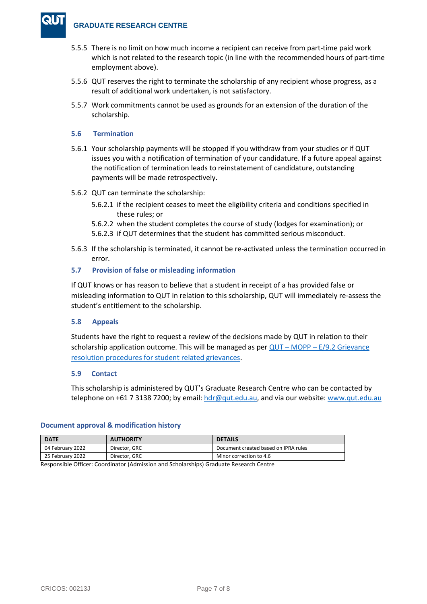- 5.5.5 There is no limit on how much income a recipient can receive from part-time paid work which is not related to the research topic (in line with the recommended hours of part-time employment above).
- 5.5.6 QUT reserves the right to terminate the scholarship of any recipient whose progress, as a result of additional work undertaken, is not satisfactory.
- 5.5.7 Work commitments cannot be used as grounds for an extension of the duration of the scholarship.

# **5.6 Termination**

- 5.6.1 Your scholarship payments will be stopped if you withdraw from your studies or if QUT issues you with a notification of termination of your candidature. If a future appeal against the notification of termination leads to reinstatement of candidature, outstanding payments will be made retrospectively.
- 5.6.2 QUT can terminate the scholarship:
	- 5.6.2.1 if the recipient ceases to meet the eligibility criteria and conditions specified in these rules; or
	- 5.6.2.2 when the student completes the course of study (lodges for examination); or
	- 5.6.2.3 if QUT determines that the student has committed serious misconduct.
- 5.6.3 If the scholarship is terminated, it cannot be re-activated unless the termination occurred in error.

# **5.7 Provision of false or misleading information**

If QUT knows or has reason to believe that a student in receipt of a has provided false or misleading information to QUT in relation to this scholarship, QUT will immediately re-assess the student's entitlement to the scholarship.

# **5.8 Appeals**

Students have the right to request a review of the decisions made by QUT in relation to their scholarship application outcome. This will be managed as per  $QUT - MOPP - E/9.2$  Grievance [resolution procedures for student related grievances.](https://www.mopp.qut.edu.au/E/E_09_02.jsp)

#### **5.9 Contact**

This scholarship is administered by QUT's Graduate Research Centre who can be contacted by telephone on  $+61$  7 3138 7200; by email:  $hdr@qut.edu.au$ , and via our website: [www.qut.edu.au](http://www.qut.edu.au/)

# **Document approval & modification history**

| <b>DATE</b>                                                                                                     | <b>AUTHORITY</b> | <b>DETAILS</b>                       |
|-----------------------------------------------------------------------------------------------------------------|------------------|--------------------------------------|
| 04 February 2022                                                                                                | Director, GRC    | Document created based on IPRA rules |
| 25 February 2022                                                                                                | Director, GRC    | Minor correction to 4.6              |
| the contract of the contract of the contract of the contract of the contract of the contract of the contract of |                  |                                      |

Responsible Officer: Coordinator (Admission and Scholarships) Graduate Research Centre